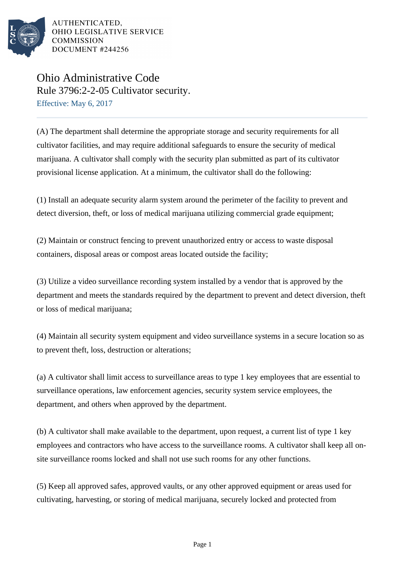

AUTHENTICATED, OHIO LEGISLATIVE SERVICE **COMMISSION** DOCUMENT #244256

Ohio Administrative Code Rule 3796:2-2-05 Cultivator security. Effective: May 6, 2017

(A) The department shall determine the appropriate storage and security requirements for all cultivator facilities, and may require additional safeguards to ensure the security of medical marijuana. A cultivator shall comply with the security plan submitted as part of its cultivator provisional license application. At a minimum, the cultivator shall do the following:

(1) Install an adequate security alarm system around the perimeter of the facility to prevent and detect diversion, theft, or loss of medical marijuana utilizing commercial grade equipment;

(2) Maintain or construct fencing to prevent unauthorized entry or access to waste disposal containers, disposal areas or compost areas located outside the facility;

(3) Utilize a video surveillance recording system installed by a vendor that is approved by the department and meets the standards required by the department to prevent and detect diversion, theft or loss of medical marijuana;

(4) Maintain all security system equipment and video surveillance systems in a secure location so as to prevent theft, loss, destruction or alterations;

(a) A cultivator shall limit access to surveillance areas to type 1 key employees that are essential to surveillance operations, law enforcement agencies, security system service employees, the department, and others when approved by the department.

(b) A cultivator shall make available to the department, upon request, a current list of type 1 key employees and contractors who have access to the surveillance rooms. A cultivator shall keep all onsite surveillance rooms locked and shall not use such rooms for any other functions.

(5) Keep all approved safes, approved vaults, or any other approved equipment or areas used for cultivating, harvesting, or storing of medical marijuana, securely locked and protected from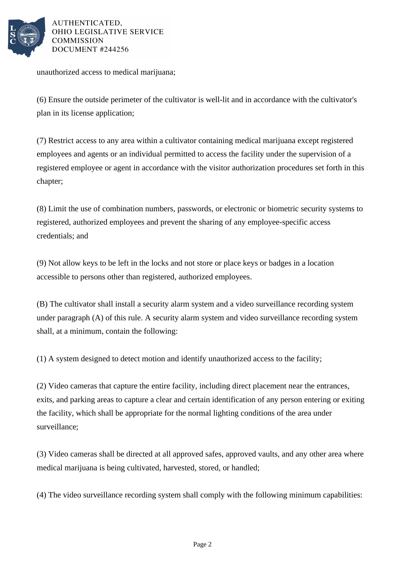

AUTHENTICATED. OHIO LEGISLATIVE SERVICE **COMMISSION** DOCUMENT #244256

unauthorized access to medical marijuana;

(6) Ensure the outside perimeter of the cultivator is well-lit and in accordance with the cultivator's plan in its license application;

(7) Restrict access to any area within a cultivator containing medical marijuana except registered employees and agents or an individual permitted to access the facility under the supervision of a registered employee or agent in accordance with the visitor authorization procedures set forth in this chapter;

(8) Limit the use of combination numbers, passwords, or electronic or biometric security systems to registered, authorized employees and prevent the sharing of any employee-specific access credentials; and

(9) Not allow keys to be left in the locks and not store or place keys or badges in a location accessible to persons other than registered, authorized employees.

(B) The cultivator shall install a security alarm system and a video surveillance recording system under paragraph (A) of this rule. A security alarm system and video surveillance recording system shall, at a minimum, contain the following:

(1) A system designed to detect motion and identify unauthorized access to the facility;

(2) Video cameras that capture the entire facility, including direct placement near the entrances, exits, and parking areas to capture a clear and certain identification of any person entering or exiting the facility, which shall be appropriate for the normal lighting conditions of the area under surveillance;

(3) Video cameras shall be directed at all approved safes, approved vaults, and any other area where medical marijuana is being cultivated, harvested, stored, or handled;

(4) The video surveillance recording system shall comply with the following minimum capabilities: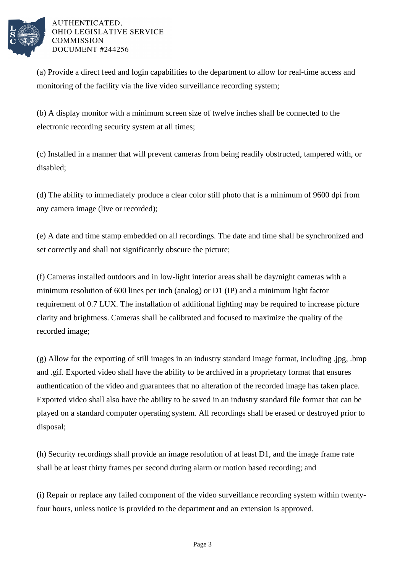

## AUTHENTICATED. OHIO LEGISLATIVE SERVICE **COMMISSION** DOCUMENT #244256

(a) Provide a direct feed and login capabilities to the department to allow for real-time access and monitoring of the facility via the live video surveillance recording system;

(b) A display monitor with a minimum screen size of twelve inches shall be connected to the electronic recording security system at all times;

(c) Installed in a manner that will prevent cameras from being readily obstructed, tampered with, or disabled;

(d) The ability to immediately produce a clear color still photo that is a minimum of 9600 dpi from any camera image (live or recorded);

(e) A date and time stamp embedded on all recordings. The date and time shall be synchronized and set correctly and shall not significantly obscure the picture;

(f) Cameras installed outdoors and in low-light interior areas shall be day/night cameras with a minimum resolution of 600 lines per inch (analog) or D1 (IP) and a minimum light factor requirement of 0.7 LUX. The installation of additional lighting may be required to increase picture clarity and brightness. Cameras shall be calibrated and focused to maximize the quality of the recorded image;

(g) Allow for the exporting of still images in an industry standard image format, including .jpg, .bmp and .gif. Exported video shall have the ability to be archived in a proprietary format that ensures authentication of the video and guarantees that no alteration of the recorded image has taken place. Exported video shall also have the ability to be saved in an industry standard file format that can be played on a standard computer operating system. All recordings shall be erased or destroyed prior to disposal;

(h) Security recordings shall provide an image resolution of at least D1, and the image frame rate shall be at least thirty frames per second during alarm or motion based recording; and

(i) Repair or replace any failed component of the video surveillance recording system within twentyfour hours, unless notice is provided to the department and an extension is approved.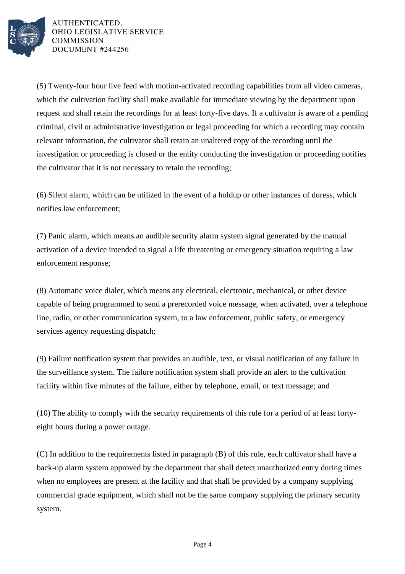

AUTHENTICATED, OHIO LEGISLATIVE SERVICE **COMMISSION** DOCUMENT #244256

(5) Twenty-four hour live feed with motion-activated recording capabilities from all video cameras, which the cultivation facility shall make available for immediate viewing by the department upon request and shall retain the recordings for at least forty-five days. If a cultivator is aware of a pending criminal, civil or administrative investigation or legal proceeding for which a recording may contain relevant information, the cultivator shall retain an unaltered copy of the recording until the investigation or proceeding is closed or the entity conducting the investigation or proceeding notifies the cultivator that it is not necessary to retain the recording;

(6) Silent alarm, which can be utilized in the event of a holdup or other instances of duress, which notifies law enforcement;

(7) Panic alarm, which means an audible security alarm system signal generated by the manual activation of a device intended to signal a life threatening or emergency situation requiring a law enforcement response;

(8) Automatic voice dialer, which means any electrical, electronic, mechanical, or other device capable of being programmed to send a prerecorded voice message, when activated, over a telephone line, radio, or other communication system, to a law enforcement, public safety, or emergency services agency requesting dispatch;

(9) Failure notification system that provides an audible, text, or visual notification of any failure in the surveillance system. The failure notification system shall provide an alert to the cultivation facility within five minutes of the failure, either by telephone, email, or text message; and

(10) The ability to comply with the security requirements of this rule for a period of at least fortyeight hours during a power outage.

(C) In addition to the requirements listed in paragraph (B) of this rule, each cultivator shall have a back-up alarm system approved by the department that shall detect unauthorized entry during times when no employees are present at the facility and that shall be provided by a company supplying commercial grade equipment, which shall not be the same company supplying the primary security system.